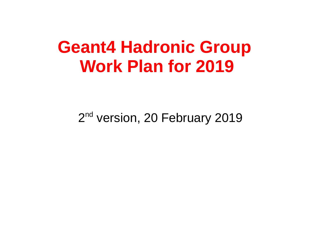## **Geant4 Hadronic Group Work Plan for 2019**

2<sup>nd</sup> version, 20 February 2019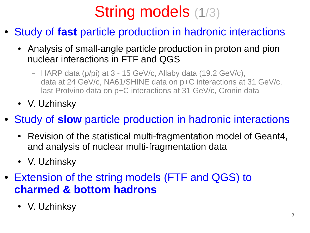# String models (1/3)

- **Study of fast particle production in hadronic interactions** 
	- Analysis of small-angle particle production in proton and pion nuclear interactions in FTF and QGS
		- HARP data (p/pi) at 3 15 GeV/c, Allaby data (19.2 GeV/c), data at 24 GeV/c, NA61/SHINE data on p+C interactions at 31 GeV/c, last Protvino data on p+C interactions at 31 GeV/c, Cronin data
	- V. Uzhinsky
- Study of **slow** particle production in hadronic interactions
	- Revision of the statistical multi-fragmentation model of Geant4, and analysis of nuclear multi-fragmentation data
	- V. Uzhinsky
- Extension of the string models (FTF and QGS) to **charmed & bottom hadrons**
	- V. Uzhinksy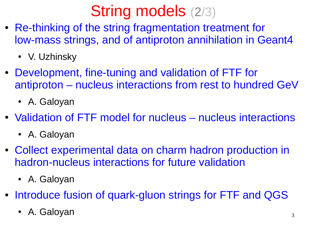# String models (2/3)

- Re-thinking of the string fragmentation treatment for low-mass strings, and of antiproton annihilation in Geant4
	- V. Uzhinsky
- Development, fine-tuning and validation of FTF for antiproton – nucleus interactions from rest to hundred GeV
	- A. Galoyan
- Validation of FTF model for nucleus nucleus interactions
	- A. Galoyan
- Collect experimental data on charm hadron production in hadron-nucleus interactions for future validation
	- A. Galoyan
- Introduce fusion of quark-gluon strings for FTF and QGS
	- A. Galoyan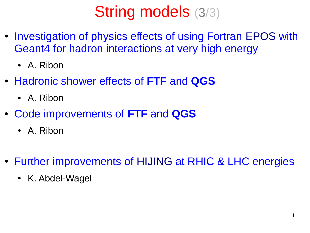# String models (3/3)

- Investigation of physics effects of using Fortran EPOS with Geant4 for hadron interactions at very high energy
	- A. Ribon
- Hadronic shower effects of **FTF** and **QGS**
	- A. Ribon
- Code improvements of **FTF** and **QGS**
	- A. Ribon
- Further improvements of HIJING at RHIC & LHC energies
	- K. Abdel-Wagel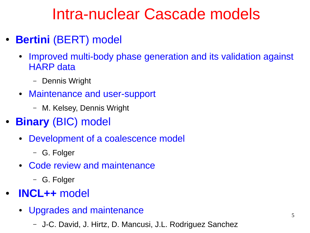#### Intra-nuclear Cascade models

- **Bertini** (BERT) model
	- Improved multi-body phase generation and its validation against HARP data
		- Dennis Wright
	- Maintenance and user-support
		- M. Kelsey, Dennis Wright
- **Binary** (BIC) model
	- Development of a coalescence model
		- G. Folger
	- Code review and maintenance
		- G. Folger
- **INCL++** model
	- Upgrades and maintenance
		- J-C. David, J. Hirtz, D. Mancusi, J.L. Rodriguez Sanchez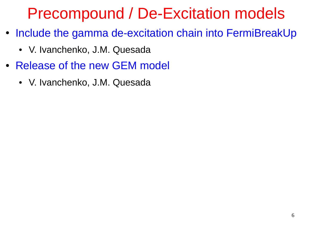#### Precompound / De-Excitation models

- Include the gamma de-excitation chain into FermiBreakUp
	- V. Ivanchenko, J.M. Quesada
- Release of the new GEM model
	- V. Ivanchenko, J.M. Quesada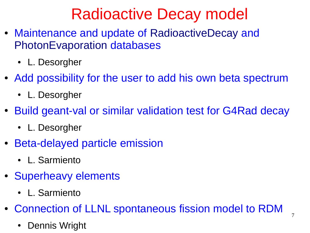## Radioactive Decay model

- Maintenance and update of RadioactiveDecay and PhotonEvaporation databases
	- L. Desorgher
- Add possibility for the user to add his own beta spectrum
	- L. Desorgher
- Build geant-val or similar validation test for G4Rad decay
	- L. Desorgher
- Beta-delayed particle emission
	- L. Sarmiento
- Superheavy elements
	- L. Sarmiento
- Connection of LLNL spontaneous fission model to RDM
	- Dennis Wright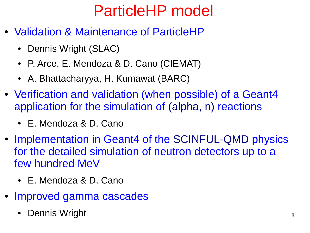### ParticleHP model

- **Validation & Maintenance of ParticleHP** 
	- Dennis Wright (SLAC)
	- P. Arce, E. Mendoza & D. Cano (CIEMAT)
	- A. Bhattacharyya, H. Kumawat (BARC)
- Verification and validation (when possible) of a Geant4 application for the simulation of (alpha, n) reactions
	- E. Mendoza & D. Cano
- Implementation in Geant4 of the SCINFUL-QMD physics for the detailed simulation of neutron detectors up to a few hundred MeV
	- E. Mendoza & D. Cano
- Improved gamma cascades
	- Dennis Wright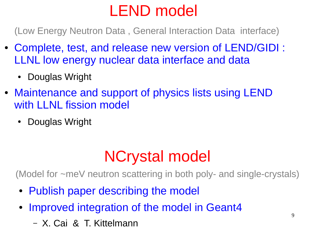## LEND model

(Low Energy Neutron Data , General Interaction Data interface)

- Complete, test, and release new version of LEND/GIDI : LLNL low energy nuclear data interface and data
	- Douglas Wright
- Maintenance and support of physics lists using LEND with LLNL fission model
	- Douglas Wright

#### NCrystal model

(Model for ~meV neutron scattering in both poly- and single-crystals)

- Publish paper describing the model
- Improved integration of the model in Geant4
	- X. Cai & T. Kittelmann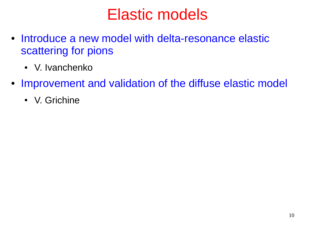#### Elastic models

- Introduce a new model with delta-resonance elastic scattering for pions
	- V. Ivanchenko
- Improvement and validation of the diffuse elastic model
	- V. Grichine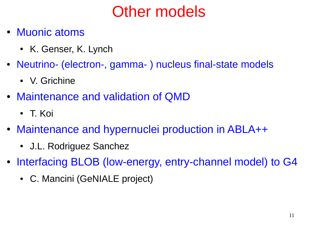## Other models

- Muonic atoms
	- K. Genser, K. Lynch
- Neutrino- (electron-, gamma-) nucleus final-state models
	- V. Grichine
- Maintenance and validation of QMD
	- T. Koi
- Maintenance and hypernuclei production in ABLA++
	- J.L. Rodriguez Sanchez
- Interfacing BLOB (low-energy, entry-channel model) to G4
	- C. Mancini (GeNIALE project)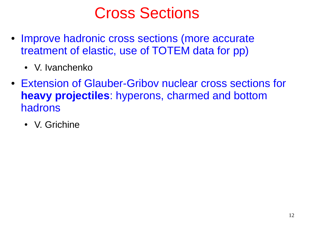#### Cross Sections

- Improve hadronic cross sections (more accurate treatment of elastic, use of TOTEM data for pp)
	- V. Ivanchenko
- Extension of Glauber-Griboy nuclear cross sections for **heavy projectiles**: hyperons, charmed and bottom hadrons
	- V. Grichine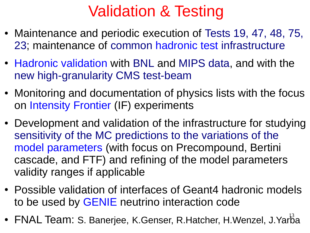### Validation & Testing

- Maintenance and periodic execution of Tests 19, 47, 48, 75, 23; maintenance of common hadronic test infrastructure
- Hadronic validation with BNL and MIPS data, and with the new high-granularity CMS test-beam
- Monitoring and documentation of physics lists with the focus on Intensity Frontier (IF) experiments
- Development and validation of the infrastructure for studying sensitivity of the MC predictions to the variations of the model parameters (with focus on Precompound, Bertini cascade, and FTF) and refining of the model parameters validity ranges if applicable
- Possible validation of interfaces of Geant4 hadronic models to be used by GENIE neutrino interaction code
- FNAL Team: S. Banerjee, K.Genser, R.Hatcher, H.Wenzel, J.Yarba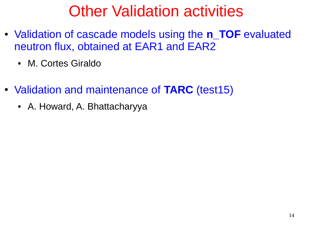### Other Validation activities

- Validation of cascade models using the **n\_TOF** evaluated neutron flux, obtained at EAR1 and EAR2
	- M. Cortes Giraldo
- Validation and maintenance of **TARC** (test15)
	- A. Howard, A. Bhattacharyya